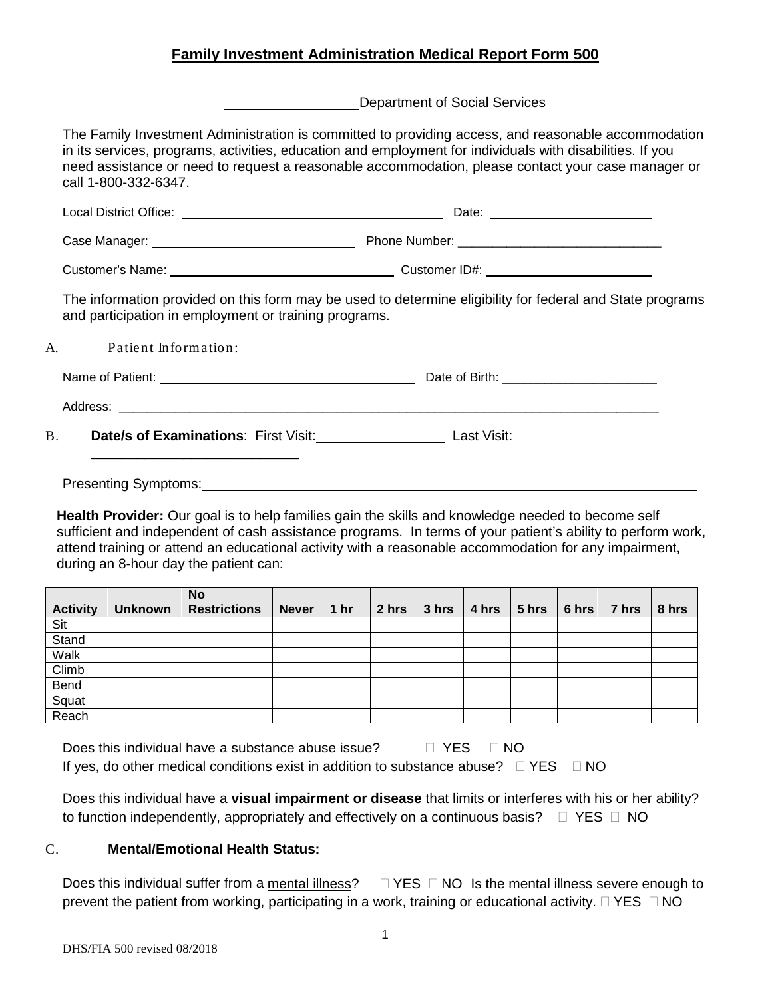# **Family Investment Administration Medical Report Form 500**

Department of Social Services

The Family Investment Administration is committed to providing access, and reasonable accommodation in its services, programs, activities, education and employment for individuals with disabilities. If you need assistance or need to request a reasonable accommodation, please contact your case manager or call 1-800-332-6347.

| and participation in employment or training programs.      | The information provided on this form may be used to determine eligibility for federal and State programs |  |  |  |  |
|------------------------------------------------------------|-----------------------------------------------------------------------------------------------------------|--|--|--|--|
| A. Patient Information:                                    |                                                                                                           |  |  |  |  |
|                                                            |                                                                                                           |  |  |  |  |
|                                                            |                                                                                                           |  |  |  |  |
| B. <b>Date/s of Examinations:</b> First Visit: Last Visit: |                                                                                                           |  |  |  |  |
|                                                            |                                                                                                           |  |  |  |  |

**Health Provider:** Our goal is to help families gain the skills and knowledge needed to become self sufficient and independent of cash assistance programs. In terms of your patient's ability to perform work, attend training or attend an educational activity with a reasonable accommodation for any impairment, during an 8-hour day the patient can:

|                 |                | <b>No</b>           |              |                 |       |                   |                                                                  |  |       |
|-----------------|----------------|---------------------|--------------|-----------------|-------|-------------------|------------------------------------------------------------------|--|-------|
| <b>Activity</b> | <b>Unknown</b> | <b>Restrictions</b> | <b>Never</b> | 1 <sub>hr</sub> | 2 hrs | $ 3 \text{ hrs} $ | $ 4 \text{ hrs}   5 \text{ hrs}   6 \text{ hrs}   7 \text{ hrs}$ |  | 8 hrs |
| Sit             |                |                     |              |                 |       |                   |                                                                  |  |       |
| Stand           |                |                     |              |                 |       |                   |                                                                  |  |       |
| Walk            |                |                     |              |                 |       |                   |                                                                  |  |       |
| Climb           |                |                     |              |                 |       |                   |                                                                  |  |       |
| Bend            |                |                     |              |                 |       |                   |                                                                  |  |       |
| Squat           |                |                     |              |                 |       |                   |                                                                  |  |       |
| Reach           |                |                     |              |                 |       |                   |                                                                  |  |       |

Does this individual have a substance abuse issue?  $\Box$  YES  $\Box$  NO If yes, do other medical conditions exist in addition to substance abuse?  $\Box$  YES  $\Box$  NO

Does this individual have a **visual impairment or disease** that limits or interferes with his or her ability? to function independently, appropriately and effectively on a continuous basis?  $\Box$  YES  $\Box$  NO

#### C. **Mental/Emotional Health Status:**

Does this individual suffer from a mental illness?  $\Box$  YES  $\Box$  NO Is the mental illness severe enough to prevent the patient from working, participating in a work, training or educational activity.  $\Box$  YES  $\Box$  NO